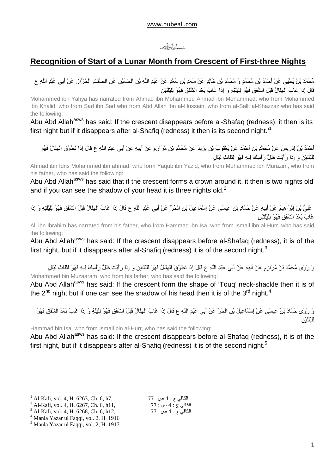#### لشد أنفالغالص

#### **Recognition of Start of a Lunar Month from Crescent of First-three Nights**

مُحَمَّدُ بْنُ يَحْيَى عَنْ أَحْمَدَ بْنِ مُحَمَّدٍ وَ مُحَمَّدِ بْنِ خَالِدٍ عَنْ سَعْدِ بْنِ سَعْدٍ عَنْ عَبْدِ اللَّهِ بْنِ الْحُسَيْنِ عَنِ الصَّلْتِ الْخَزَّازِ عَنْ أَبِي عَبْدِ اللَّهِ ع قَالَ إِذَا غَابَ الْهِلْمَالُ قَبْلَ الشُّفَقِ فَهُوَ لِلْيُلْتِهِ وَ إِذَا غَابَ بَعْدَ الشُّفَقِ فَهُوَ لِلْيُلْتَيْنِ

Mohammed ibn Yahya has narrated from Ahmad ibn Mohammed Ahmad ibn Mohammed, who from Mohammed ibn Khalid, who from Sad ibn Sad who from Abd Allah ibn al-Hussain, who from al-Sallt al-Khazzaz who has said the following:

Abu Abd Allah<sup>asws</sup> has said: If the crescent disappears before al-Shafaq (redness), it then is its first night but if it disappears after al-Shafiq (redness) it then is its second night.'<sup>1</sup>

أَحْمَدُ بْنُ إِدْرِيسَ عَنْ مُحَمَّدِ بْنِ أَحْمَدَ عَنْ يَعْقُوبَ بْنِ يَزِيدَ عَنْ مُحَمَّدِ بْنِ مُرَازِمٍ عَنْ أَبِيهِ عَنْ أَبِي عَبْدِ اللَّهِ ع قَالَ إِذَا تَطَوَّقَ الْهِلَالُ فَهُوَ لِلْيُلْتَيْنِ وَ إِذَا رَأَيْتَ ظِلَّ رَأْسِكَ فِيهِ فَهُوَ لِتَلْاثِ لَيَالٍ

Ahmad ibn Idris Mohammed ibn ahmad, who form Yaqub ibn Yazid, who from Mohammed ibn Murazim, who from his father, who has said the following:

Abu Abd Allah<sup>asws</sup> has said that if the crescent forms a crown around it, it then is two nights old and if you can see the shadow of your head it is three nights old.<sup>2</sup>

عَلِيَّ بْنُ إِبْرَاهِيمَ عَنْ أَبِيهِ عَنْ حَمَّادِ بْنِ عِيسَى عَنْ إِسْمَاعِيلَ بْنِ الْحُرِّ عَنْ أَبِي عَبْدِ اللّهِ ع قَالَ إِذَا غَابَ الْهِلْالُ قَبْلَ الشُّفَقِ فَهُوَ لِلْيُلْنِهِ وَ إِذَا غَابَ بَعْدَ الشَّفَقِ فَهُوَ لِلَّيْلَتَيْنِ

Ali ibn Ibrahim has narrated from his father, who from Hammad ibn Isa, who from Ismail ibn al-Hurr, who has said the following:

Abu Abd Allah<sup>asws</sup> has said: If the crescent disappears before al-Shafaq (redness), it is of the first night, but if it disappears after al-Shafiq (redness) it is of the second night.<sup>3</sup>

وَ رَوَى مُحَمَّدُ بْنُ مُرَازِمٍ عَنْ أَبِيهِ عَنْ أَبِي عَبْدِ اللَّهِ ع قَالَ إِذَا تَطَوَّقَ الْمِلَالُ فَهُوَ لِلْيُلْتَيْنِ وَ إِذَا رَأَيْتَ ظِلَّ رَأْسِكَ فِيهِ فَهُوَ لِتَلَاثِ لَيَالٍ Mohammed bin Muzaaram, who from his father, who has said the following:

Abu Abd Allah<sup>asws</sup> has said: If the crescent form the shape of 'Touq' neck-shackle then it is of the 2<sup>nd</sup> night but if one can see the shadow of his head then it is of the 3<sup>rd</sup> night.<sup>4</sup>

وَ رَوَى حَمَّادُ بْنُ عِيسَى عَنْ إِسْمَاعِيلَ بْنِ الْحُرِّ عَنْ أَبِي عَبْدِ اللَّهِ عَ قَالَ إِذَا غَابَ الْهِلَالُ قَبْلَ الشُّقَقِ فَهُوَ لِلَيْلَةِ وَ إِذَا غَابَ بَعْدَ الشُّقَقِ فَهُوَ ڵۣڵڹ**۠ڵ**ڷڹ۠ۯ

Hammad bin Isa, who from Ismail bin al-Hurr, who has said the following:

Abu Abd Allah<sup>asws</sup> has said: If the crescent disappears before al-Shafaq (redness), it is of the first night, but if it disappears after al-Shafiq (redness) it is of the second night.<sup>5</sup>

 $77:$  الكافى ج: 4 ص

الكافي ج : 4 ص : 77

الكافي ج : 4 ص : 77

 $\overline{a}$ 

<sup>1</sup> Al-Kafi, vol. 4, H. 6263, Ch. 6, h7,

<sup>2</sup> Al-Kafi, vol. 4, H. 6267, Ch. 6, h11,

<sup>3</sup> Al-Kafi, vol. 4, H. 6268, Ch. 6, h12,

<sup>4</sup> Manla Yazar ul Faqqi, vol. 2, H. 1916

<sup>5</sup> Manla Yazar ul Faqqi, vol. 2, H. 1917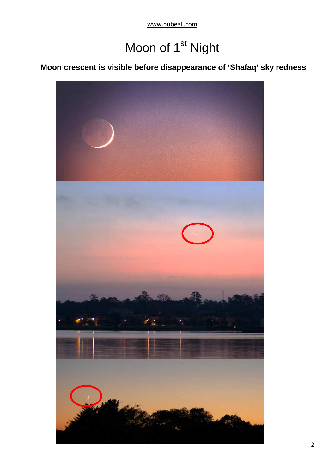www.hubeali.com

### Moon of 1<sup>st</sup> Night

#### **Moon crescent is visible before disappearance of 'Shafaq' sky redness**

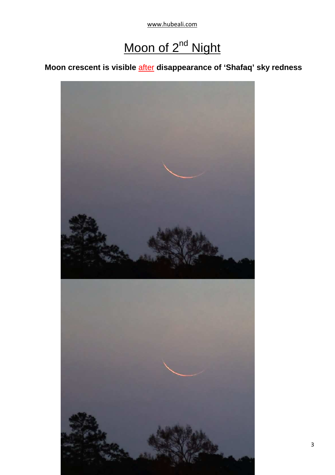www.hubeali.com

## Moon of 2<sup>nd</sup> Night

### **Moon crescent is visible** after **disappearance of 'Shafaq' sky redness**



3